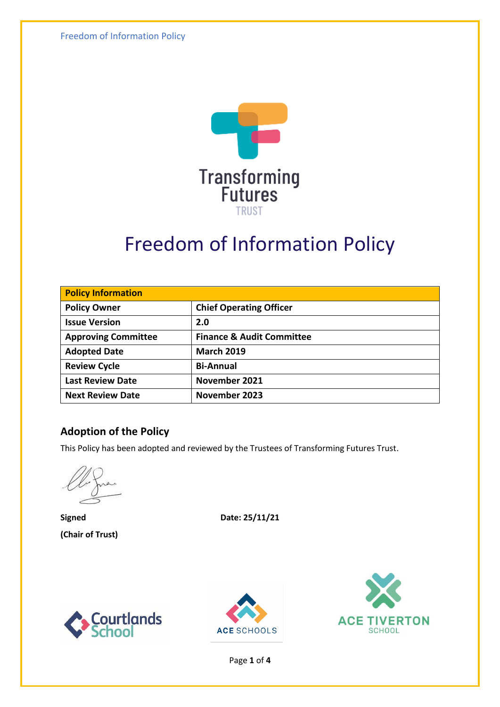Freedom of Information Policy



# Freedom of Information Policy

| <b>Policy Information</b>  |                                      |  |
|----------------------------|--------------------------------------|--|
| <b>Policy Owner</b>        | <b>Chief Operating Officer</b>       |  |
| <b>Issue Version</b>       | 2.0                                  |  |
| <b>Approving Committee</b> | <b>Finance &amp; Audit Committee</b> |  |
| <b>Adopted Date</b>        | <b>March 2019</b>                    |  |
| <b>Review Cycle</b>        | <b>Bi-Annual</b>                     |  |
| <b>Last Review Date</b>    | November 2021                        |  |
| <b>Next Review Date</b>    | November 2023                        |  |

#### **Adoption of the Policy**

This Policy has been adopted and reviewed by the Trustees of Transforming Futures Trust.

**(Chair of Trust)**

**Signed Date: 25/11/21**







Page **1** of **4**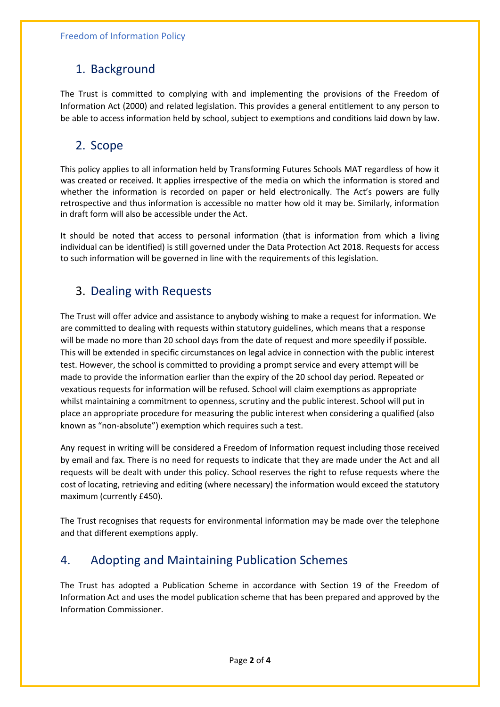#### 1. Background

The Trust is committed to complying with and implementing the provisions of the Freedom of Information Act (2000) and related legislation. This provides a general entitlement to any person to be able to access information held by school, subject to exemptions and conditions laid down by law.

#### 2. Scope

This policy applies to all information held by Transforming Futures Schools MAT regardless of how it was created or received. It applies irrespective of the media on which the information is stored and whether the information is recorded on paper or held electronically. The Act's powers are fully retrospective and thus information is accessible no matter how old it may be. Similarly, information in draft form will also be accessible under the Act.

It should be noted that access to personal information (that is information from which a living individual can be identified) is still governed under the Data Protection Act 2018. Requests for access to such information will be governed in line with the requirements of this legislation.

### 3. Dealing with Requests

The Trust will offer advice and assistance to anybody wishing to make a request for information. We are committed to dealing with requests within statutory guidelines, which means that a response will be made no more than 20 school days from the date of request and more speedily if possible. This will be extended in specific circumstances on legal advice in connection with the public interest test. However, the school is committed to providing a prompt service and every attempt will be made to provide the information earlier than the expiry of the 20 school day period. Repeated or vexatious requests for information will be refused. School will claim exemptions as appropriate whilst maintaining a commitment to openness, scrutiny and the public interest. School will put in place an appropriate procedure for measuring the public interest when considering a qualified (also known as "non-absolute") exemption which requires such a test.

Any request in writing will be considered a Freedom of Information request including those received by email and fax. There is no need for requests to indicate that they are made under the Act and all requests will be dealt with under this policy. School reserves the right to refuse requests where the cost of locating, retrieving and editing (where necessary) the information would exceed the statutory maximum (currently £450).

The Trust recognises that requests for environmental information may be made over the telephone and that different exemptions apply.

#### 4. Adopting and Maintaining Publication Schemes

The Trust has adopted a Publication Scheme in accordance with Section 19 of the Freedom of Information Act and uses the model publication scheme that has been prepared and approved by the Information Commissioner.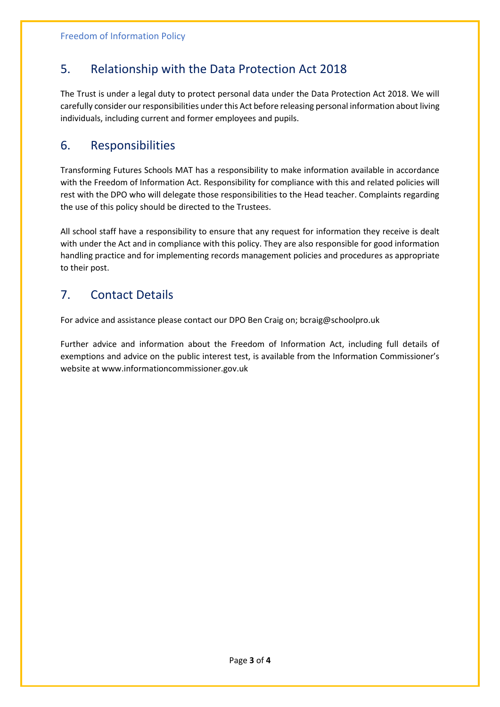### 5. Relationship with the Data Protection Act 2018

The Trust is under a legal duty to protect personal data under the Data Protection Act 2018. We will carefully consider our responsibilities under this Act before releasing personal information about living individuals, including current and former employees and pupils.

#### 6. Responsibilities

Transforming Futures Schools MAT has a responsibility to make information available in accordance with the Freedom of Information Act. Responsibility for compliance with this and related policies will rest with the DPO who will delegate those responsibilities to the Head teacher. Complaints regarding the use of this policy should be directed to the Trustees.

All school staff have a responsibility to ensure that any request for information they receive is dealt with under the Act and in compliance with this policy. They are also responsible for good information handling practice and for implementing records management policies and procedures as appropriate to their post.

#### 7. Contact Details

For advice and assistance please contact our DPO Ben Craig on; bcraig@schoolpro.uk

Further advice and information about the Freedom of Information Act, including full details of exemptions and advice on the public interest test, is available from the Information Commissioner's website at www.informationcommissioner.gov.uk